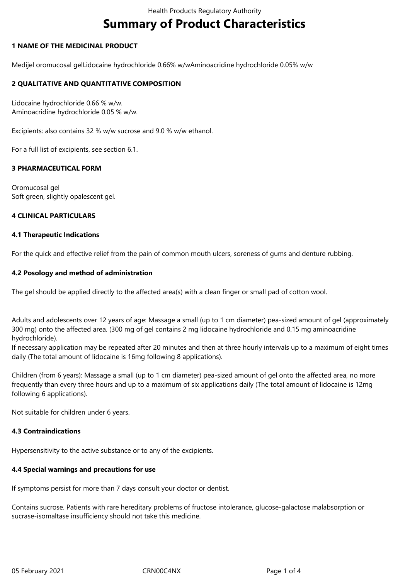# **Summary of Product Characteristics**

# **1 NAME OF THE MEDICINAL PRODUCT**

Medijel oromucosal gelLidocaine hydrochloride 0.66% w/wAminoacridine hydrochloride 0.05% w/w

# **2 QUALITATIVE AND QUANTITATIVE COMPOSITION**

Lidocaine hydrochloride 0.66 % w/w. Aminoacridine hydrochloride 0.05 % w/w.

Excipients: also contains 32 % w/w sucrose and 9.0 % w/w ethanol.

For a full list of excipients, see section 6.1.

# **3 PHARMACEUTICAL FORM**

Oromucosal gel Soft green, slightly opalescent gel.

#### **4 CLINICAL PARTICULARS**

#### **4.1 Therapeutic Indications**

For the quick and effective relief from the pain of common mouth ulcers, soreness of gums and denture rubbing.

#### **4.2 Posology and method of administration**

The gel should be applied directly to the affected area(s) with a clean finger or small pad of cotton wool.

Adults and adolescents over 12 years of age: Massage a small (up to 1 cm diameter) pea-sized amount of gel (approximately 300 mg) onto the affected area. (300 mg of gel contains 2 mg lidocaine hydrochloride and 0.15 mg aminoacridine hydrochloride).

If necessary application may be repeated after 20 minutes and then at three hourly intervals up to a maximum of eight times daily (The total amount of lidocaine is 16mg following 8 applications).

Children (from 6 years): Massage a small (up to 1 cm diameter) pea-sized amount of gel onto the affected area, no more frequently than every three hours and up to a maximum of six applications daily (The total amount of lidocaine is 12mg following 6 applications).

Not suitable for children under 6 years.

#### **4.3 Contraindications**

Hypersensitivity to the active substance or to any of the excipients.

# **4.4 Special warnings and precautions for use**

If symptoms persist for more than 7 days consult your doctor or dentist.

Contains sucrose. Patients with rare hereditary problems of fructose intolerance, glucose-galactose malabsorption or sucrase-isomaltase insufficiency should not take this medicine.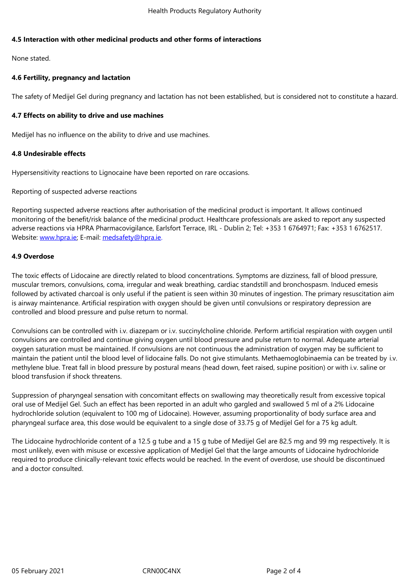#### **4.5 Interaction with other medicinal products and other forms of interactions**

None stated.

# **4.6 Fertility, pregnancy and lactation**

The safety of Medijel Gel during pregnancy and lactation has not been established, but is considered not to constitute a hazard.

# **4.7 Effects on ability to drive and use machines**

Medijel has no influence on the ability to drive and use machines.

# **4.8 Undesirable effects**

Hypersensitivity reactions to Lignocaine have been reported on rare occasions.

Reporting of suspected adverse reactions

Reporting suspected adverse reactions after authorisation of the medicinal product is important. It allows continued monitoring of the benefit/risk balance of the medicinal product. Healthcare professionals are asked to report any suspected adverse reactions via HPRA Pharmacovigilance, Earlsfort Terrace, IRL - Dublin 2; Tel: +353 1 6764971; Fax: +353 1 6762517. Website: www.hpra.ie; E-mail: medsafety@hpra.ie.

# **4.9 Overdose**

The toxic [effects of Lid](http://www.hpra.ie/)ocaine [are directly related t](mailto:medsafety@hpra.ie)o blood concentrations. Symptoms are dizziness, fall of blood pressure, muscular tremors, convulsions, coma, irregular and weak breathing, cardiac standstill and bronchospasm. Induced emesis followed by activated charcoal is only useful if the patient is seen within 30 minutes of ingestion. The primary resuscitation aim is airway maintenance. Artificial respiration with oxygen should be given until convulsions or respiratory depression are controlled and blood pressure and pulse return to normal.

Convulsions can be controlled with i.v. diazepam or i.v. succinylcholine chloride. Perform artificial respiration with oxygen until convulsions are controlled and continue giving oxygen until blood pressure and pulse return to normal. Adequate arterial oxygen saturation must be maintained. If convulsions are not continuous the administration of oxygen may be sufficient to maintain the patient until the blood level of lidocaine falls. Do not give stimulants. Methaemoglobinaemia can be treated by i.v. methylene blue. Treat fall in blood pressure by postural means (head down, feet raised, supine position) or with i.v. saline or blood transfusion if shock threatens.

Suppression of pharyngeal sensation with concomitant effects on swallowing may theoretically result from excessive topical oral use of Medijel Gel. Such an effect has been reported in an adult who gargled and swallowed 5 ml of a 2% Lidocaine hydrochloride solution (equivalent to 100 mg of Lidocaine). However, assuming proportionality of body surface area and pharyngeal surface area, this dose would be equivalent to a single dose of 33.75 g of Medijel Gel for a 75 kg adult.

The Lidocaine hydrochloride content of a 12.5 g tube and a 15 g tube of Medijel Gel are 82.5 mg and 99 mg respectively. It is most unlikely, even with misuse or excessive application of Medijel Gel that the large amounts of Lidocaine hydrochloride required to produce clinically-relevant toxic effects would be reached. In the event of overdose, use should be discontinued and a doctor consulted.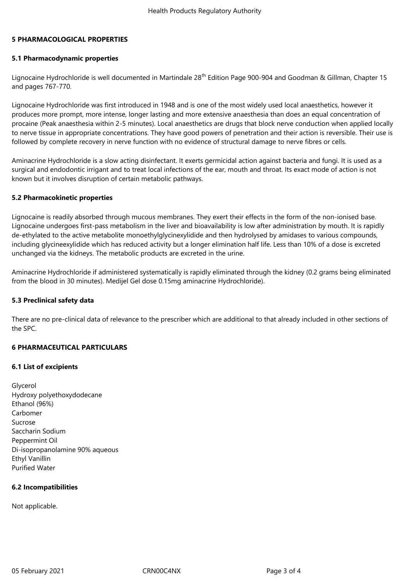#### **5 PHARMACOLOGICAL PROPERTIES**

#### **5.1 Pharmacodynamic properties**

Lignocaine Hydrochloride is well documented in Martindale 28<sup>th</sup> Edition Page 900-904 and Goodman & Gillman, Chapter 15 and pages 767-770.

Lignocaine Hydrochloride was first introduced in 1948 and is one of the most widely used local anaesthetics, however it produces more prompt, more intense, longer lasting and more extensive anaesthesia than does an equal concentration of procaine (Peak anaesthesia within 2-5 minutes). Local anaesthetics are drugs that block nerve conduction when applied locally to nerve tissue in appropriate concentrations. They have good powers of penetration and their action is reversible. Their use is followed by complete recovery in nerve function with no evidence of structural damage to nerve fibres or cells.

Aminacrine Hydrochloride is a slow acting disinfectant. It exerts germicidal action against bacteria and fungi. It is used as a surgical and endodontic irrigant and to treat local infections of the ear, mouth and throat. Its exact mode of action is not known but it involves disruption of certain metabolic pathways.

#### **5.2 Pharmacokinetic properties**

Lignocaine is readily absorbed through mucous membranes. They exert their effects in the form of the non-ionised base. Lignocaine undergoes first-pass metabolism in the liver and bioavailability is low after administration by mouth. It is rapidly de-ethylated to the active metabolite monoethylglycinexylidide and then hydrolysed by amidases to various compounds, including glycineexylidide which has reduced activity but a longer elimination half life. Less than 10% of a dose is excreted unchanged via the kidneys. The metabolic products are excreted in the urine.

Aminacrine Hydrochloride if administered systematically is rapidly eliminated through the kidney (0.2 grams being eliminated from the blood in 30 minutes). Medijel Gel dose 0.15mg aminacrine Hydrochloride).

#### **5.3 Preclinical safety data**

There are no pre-clinical data of relevance to the prescriber which are additional to that already included in other sections of the SPC.

#### **6 PHARMACEUTICAL PARTICULARS**

#### **6.1 List of excipients**

Glycerol Hydroxy polyethoxydodecane Ethanol (96%) Carbomer Sucrose Saccharin Sodium Peppermint Oil Di-isopropanolamine 90% aqueous Ethyl Vanillin Purified Water

#### **6.2 Incompatibilities**

Not applicable.